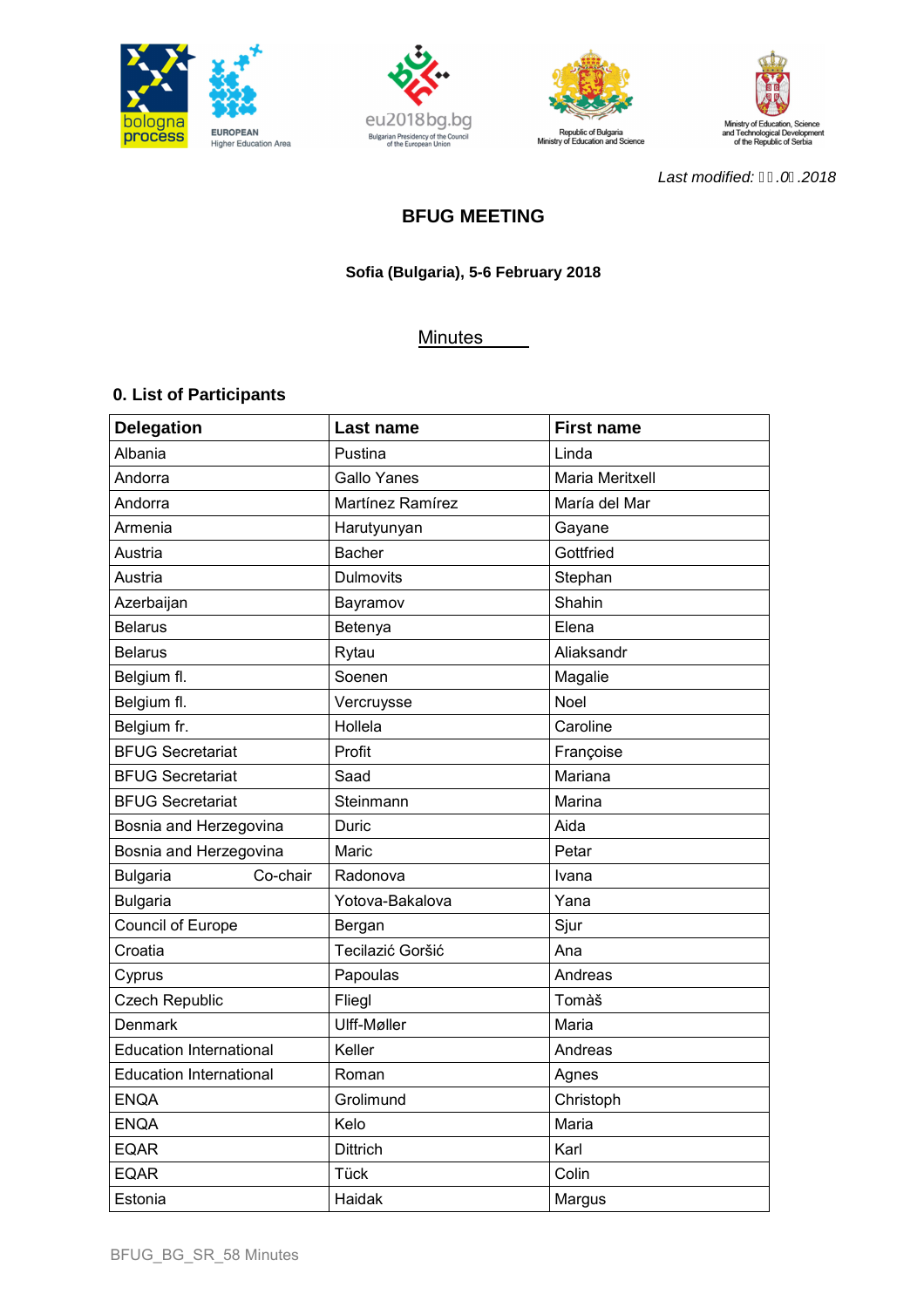







Last modified: H. 01.2018

# **BFUG MEETING**

# **Sofia (Bulgaria), 5-6 February 2018**

# **Minutes**

# **0. List of Participants**

| <b>Delegation</b>              | Last name        | <b>First name</b> |
|--------------------------------|------------------|-------------------|
| Albania                        | Pustina          | Linda             |
| Andorra                        | Gallo Yanes      | Maria Meritxell   |
| Andorra                        | Martínez Ramírez | María del Mar     |
| Armenia                        | Harutyunyan      | Gayane            |
| Austria                        | <b>Bacher</b>    | Gottfried         |
| Austria                        | <b>Dulmovits</b> | Stephan           |
| Azerbaijan                     | Bayramov         | Shahin            |
| <b>Belarus</b>                 | Betenya          | Elena             |
| <b>Belarus</b>                 | Rytau            | Aliaksandr        |
| Belgium fl.                    | Soenen           | Magalie           |
| Belgium fl.                    | Vercruysse       | <b>Noel</b>       |
| Belgium fr.                    | Hollela          | Caroline          |
| <b>BFUG Secretariat</b>        | Profit           | Françoise         |
| <b>BFUG Secretariat</b>        | Saad             | Mariana           |
| <b>BFUG Secretariat</b>        | Steinmann        | Marina            |
| Bosnia and Herzegovina         | Duric            | Aida              |
| Bosnia and Herzegovina         | Maric            | Petar             |
| Co-chair<br><b>Bulgaria</b>    | Radonova         | Ivana             |
| <b>Bulgaria</b>                | Yotova-Bakalova  | Yana              |
| Council of Europe              | Bergan           | Sjur              |
| Croatia                        | Tecilazić Goršić | Ana               |
| Cyprus                         | Papoulas         | Andreas           |
| Czech Republic                 | Fliegl           | Tomàš             |
| Denmark                        | Ulff-Møller      | Maria             |
| <b>Education International</b> | Keller           | Andreas           |
| <b>Education International</b> | Roman            | Agnes             |
| <b>ENQA</b>                    | Grolimund        | Christoph         |
| <b>ENQA</b>                    | Kelo             | Maria             |
| <b>EQAR</b>                    | <b>Dittrich</b>  | Karl              |
| <b>EQAR</b>                    | Tück             | Colin             |
| Estonia                        | Haidak           | Margus            |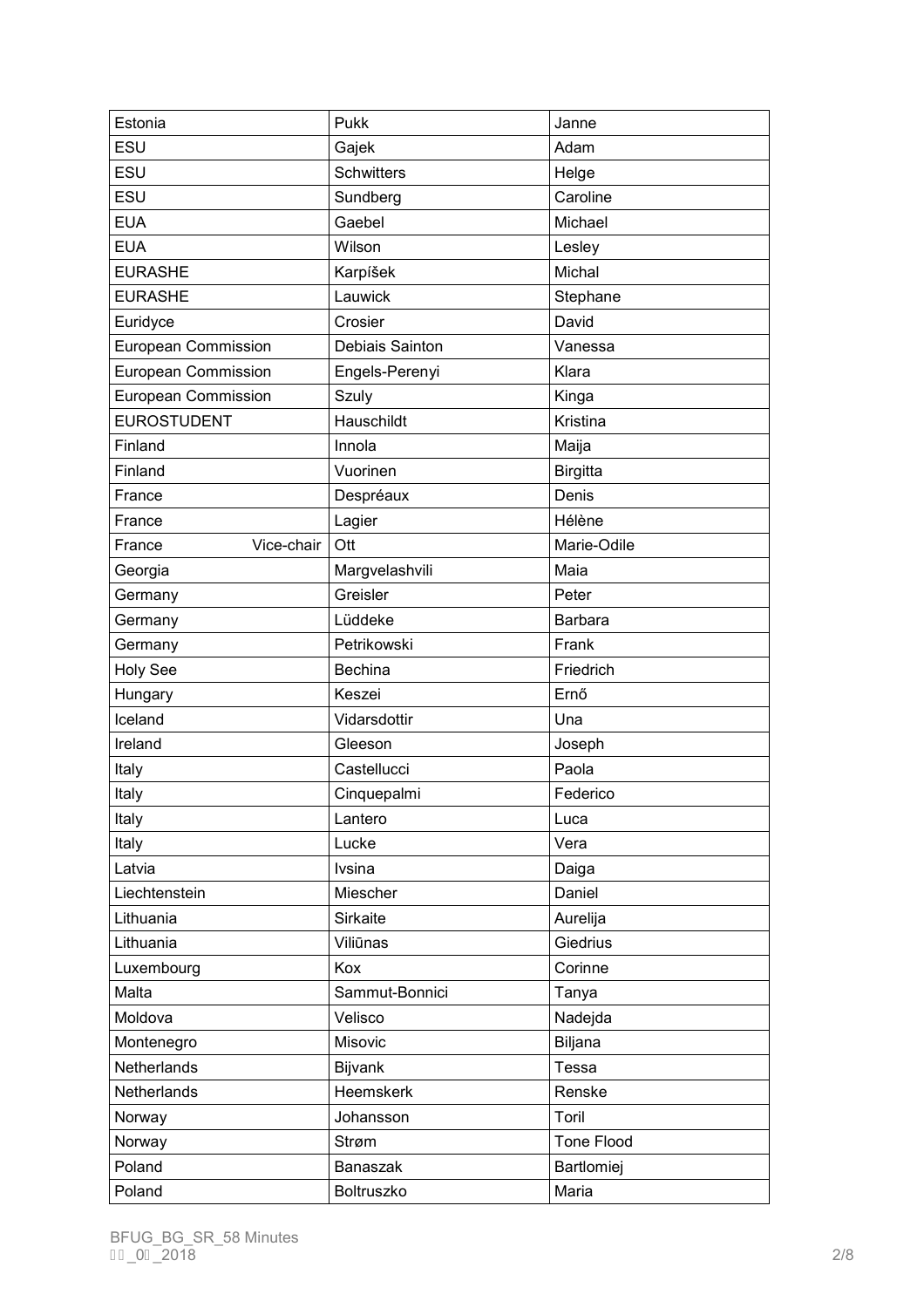| Estonia                    | Pukk              | Janne           |
|----------------------------|-------------------|-----------------|
| ESU                        | Gajek             | Adam            |
| ESU                        | <b>Schwitters</b> | Helge           |
| ESU                        | Sundberg          | Caroline        |
| <b>EUA</b>                 | Gaebel            | Michael         |
| <b>EUA</b>                 | Wilson            | Lesley          |
| <b>EURASHE</b>             | Karpíšek          | Michal          |
| <b>EURASHE</b>             | Lauwick           | Stephane        |
| Euridyce                   | Crosier           | David           |
| <b>European Commission</b> | Debiais Sainton   | Vanessa         |
| European Commission        | Engels-Perenyi    | Klara           |
| European Commission        | Szuly             | Kinga           |
| <b>EUROSTUDENT</b>         | Hauschildt        | Kristina        |
| Finland                    | Innola            | Maija           |
| Finland                    | Vuorinen          | <b>Birgitta</b> |
| France                     | Despréaux         | Denis           |
| France                     | Lagier            | Hélène          |
| Vice-chair<br>France       | Ott               | Marie-Odile     |
| Georgia                    | Margvelashvili    | Maia            |
| Germany                    | Greisler          | Peter           |
| Germany                    | Lüddeke           | <b>Barbara</b>  |
| Germany                    | Petrikowski       | Frank           |
| <b>Holy See</b>            | <b>Bechina</b>    | Friedrich       |
| Hungary                    | Keszei            | Ernő            |
| Iceland                    | Vidarsdottir      | Una             |
| Ireland                    | Gleeson           | Joseph          |
| Italy                      | Castellucci       | Paola           |
| Italy                      | Cinquepalmi       | Federico        |
| Italy                      | Lantero           | Luca            |
| Italy                      | Lucke             | Vera            |
| Latvia                     | Ivsina            | Daiga           |
| Liechtenstein              | Miescher          | Daniel          |
| Lithuania                  | <b>Sirkaite</b>   | Aurelija        |
| Lithuania                  | Viliūnas          | Giedrius        |
| Luxembourg                 | Kox               | Corinne         |
| Malta                      | Sammut-Bonnici    | Tanya           |
| Moldova                    | Velisco           | Nadejda         |
| Montenegro                 | Misovic           | Biljana         |
| Netherlands                | Bijvank           | Tessa           |
| Netherlands                | Heemskerk         | Renske          |
| Norway                     | Johansson         | Toril           |
| Norway                     | Strøm             | Tone Flood      |
| Poland                     | Banaszak          | Bartlomiej      |
| Poland                     | Boltruszko        | Maria           |
|                            |                   |                 |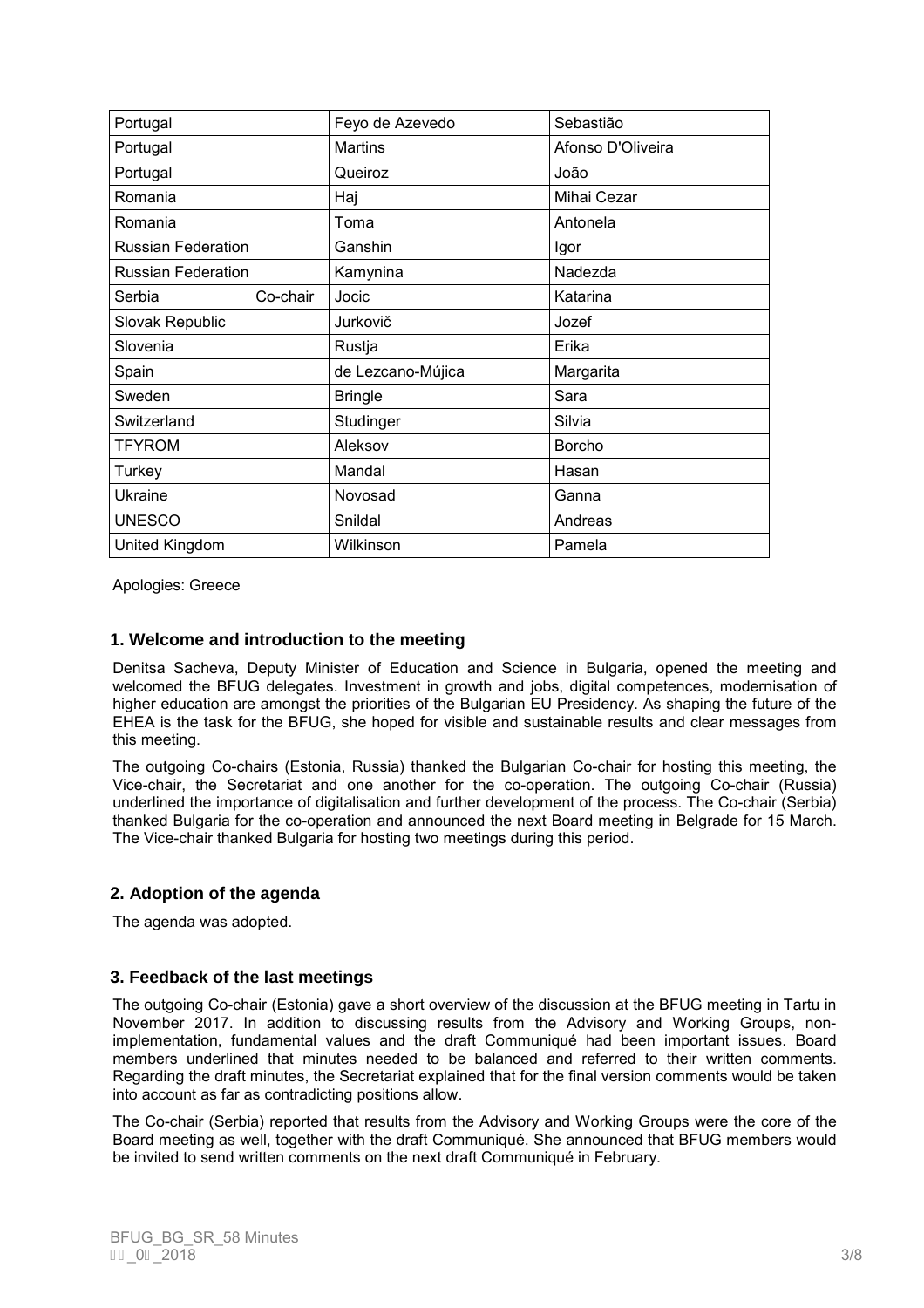| Portugal                  |          | Feyo de Azevedo   | Sebastião         |
|---------------------------|----------|-------------------|-------------------|
| Portugal                  |          | <b>Martins</b>    | Afonso D'Oliveira |
| Portugal                  |          | Queiroz           | João              |
| Romania                   |          | Haj               | Mihai Cezar       |
| Romania                   |          | Toma              | Antonela          |
| <b>Russian Federation</b> |          | Ganshin           | Igor              |
| <b>Russian Federation</b> |          | Kamynina          | Nadezda           |
| Serbia                    | Co-chair | Jocic             | Katarina          |
| Slovak Republic           |          | Jurkovič          | Jozef             |
| Slovenia                  |          | Rustja            | Erika             |
| Spain                     |          | de Lezcano-Mújica | Margarita         |
| Sweden                    |          | <b>Bringle</b>    | Sara              |
| Switzerland               |          | Studinger         | Silvia            |
| <b>TFYROM</b>             |          | Aleksov           | <b>Borcho</b>     |
| Turkey                    |          | Mandal            | Hasan             |
| Ukraine                   |          | Novosad           | Ganna             |
| <b>UNESCO</b>             |          | Snildal           | Andreas           |
| United Kingdom            |          | Wilkinson         | Pamela            |

Apologies: Greece

### **1. Welcome and introduction to the meeting**

Denitsa Sacheva, Deputy Minister of Education and Science in Bulgaria, opened the meeting and welcomed the BFUG delegates. Investment in growth and jobs, digital competences, modernisation of higher education are amongst the priorities of the Bulgarian EU Presidency. As shaping the future of the EHEA is the task for the BFUG, she hoped for visible and sustainable results and clear messages from this meeting.

The outgoing Co-chairs (Estonia, Russia) thanked the Bulgarian Co-chair for hosting this meeting, the Vice-chair, the Secretariat and one another for the co-operation. The outgoing Co-chair (Russia) underlined the importance of digitalisation and further development of the process. The Co-chair (Serbia) thanked Bulgaria for the co-operation and announced the next Board meeting in Belgrade for 15 March. The Vice-chair thanked Bulgaria for hosting two meetings during this period.

# **2. Adoption of the agenda**

The agenda was adopted.

# **3. Feedback of the last meetings**

The outgoing Co-chair (Estonia) gave a short overview of the discussion at the BFUG meeting in Tartu in November 2017. In addition to discussing results from the Advisory and Working Groups, nonimplementation, fundamental values and the draft Communiqué had been important issues. Board members underlined that minutes needed to be balanced and referred to their written comments. Regarding the draft minutes, the Secretariat explained that for the final version comments would be taken into account as far as contradicting positions allow.

The Co-chair (Serbia) reported that results from the Advisory and Working Groups were the core of the Board meeting as well, together with the draft Communiqué. She announced that BFUG members would be invited to send written comments on the next draft Communiqué in February.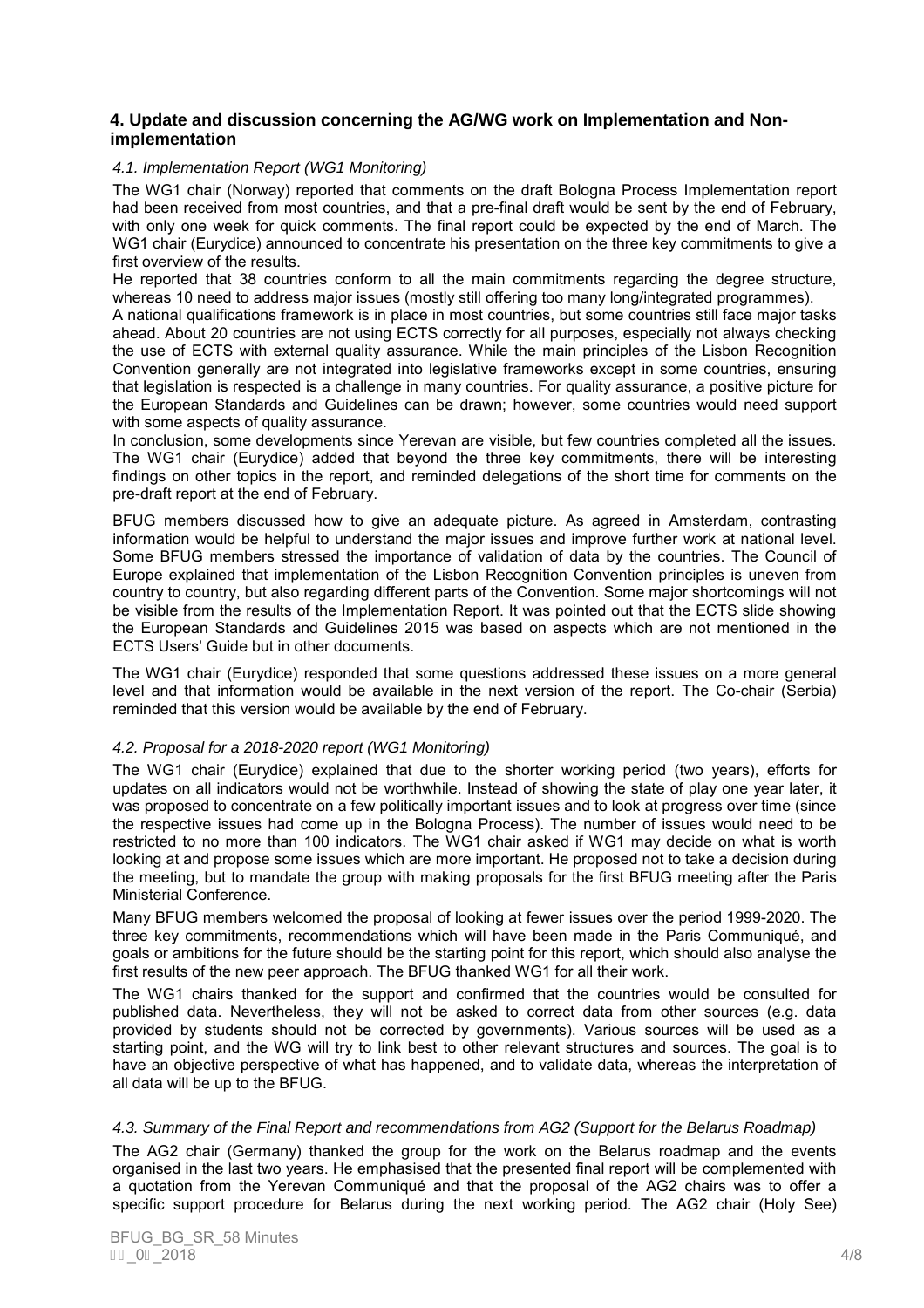### **4. Update and discussion concerning the AG/WG work on Implementation and Nonimplementation**

#### 4.1. Implementation Report (WG1 Monitoring)

The WG1 chair (Norway) reported that comments on the draft Bologna Process Implementation report had been received from most countries, and that a pre-final draft would be sent by the end of February, with only one week for quick comments. The final report could be expected by the end of March. The WG1 chair (Eurydice) announced to concentrate his presentation on the three key commitments to give a first overview of the results.

He reported that 38 countries conform to all the main commitments regarding the degree structure, whereas 10 need to address major issues (mostly still offering too many long/integrated programmes).

A national qualifications framework is in place in most countries, but some countries still face major tasks ahead. About 20 countries are not using ECTS correctly for all purposes, especially not always checking the use of ECTS with external quality assurance. While the main principles of the Lisbon Recognition Convention generally are not integrated into legislative frameworks except in some countries, ensuring that legislation is respected is a challenge in many countries. For quality assurance, a positive picture for the European Standards and Guidelines can be drawn; however, some countries would need support with some aspects of quality assurance.

In conclusion, some developments since Yerevan are visible, but few countries completed all the issues. The WG1 chair (Eurydice) added that beyond the three key commitments, there will be interesting findings on other topics in the report, and reminded delegations of the short time for comments on the pre-draft report at the end of February.

BFUG members discussed how to give an adequate picture. As agreed in Amsterdam, contrasting information would be helpful to understand the major issues and improve further work at national level. Some BFUG members stressed the importance of validation of data by the countries. The Council of Europe explained that implementation of the Lisbon Recognition Convention principles is uneven from country to country, but also regarding different parts of the Convention. Some major shortcomings will not be visible from the results of the Implementation Report. It was pointed out that the ECTS slide showing the European Standards and Guidelines 2015 was based on aspects which are not mentioned in the ECTS Users' Guide but in other documents.

The WG1 chair (Eurydice) responded that some questions addressed these issues on a more general level and that information would be available in the next version of the report. The Co-chair (Serbia) reminded that this version would be available by the end of February.

### 4.2. Proposal for a 2018-2020 report (WG1 Monitoring)

The WG1 chair (Eurydice) explained that due to the shorter working period (two years), efforts for updates on all indicators would not be worthwhile. Instead of showing the state of play one year later, it was proposed to concentrate on a few politically important issues and to look at progress over time (since the respective issues had come up in the Bologna Process). The number of issues would need to be restricted to no more than 100 indicators. The WG1 chair asked if WG1 may decide on what is worth looking at and propose some issues which are more important. He proposed not to take a decision during the meeting, but to mandate the group with making proposals for the first BFUG meeting after the Paris Ministerial Conference.

Many BFUG members welcomed the proposal of looking at fewer issues over the period 1999-2020. The three key commitments, recommendations which will have been made in the Paris Communiqué, and goals or ambitions for the future should be the starting point for this report, which should also analyse the first results of the new peer approach. The BFUG thanked WG1 for all their work.

The WG1 chairs thanked for the support and confirmed that the countries would be consulted for published data. Nevertheless, they will not be asked to correct data from other sources (e.g. data provided by students should not be corrected by governments). Various sources will be used as a starting point, and the WG will try to link best to other relevant structures and sources. The goal is to have an objective perspective of what has happened, and to validate data, whereas the interpretation of all data will be up to the BFUG.

#### 4.3. Summary of the Final Report and recommendations from AG2 (Support for the Belarus Roadmap)

The AG2 chair (Germany) thanked the group for the work on the Belarus roadmap and the events organised in the last two years. He emphasised that the presented final report will be complemented with a quotation from the Yerevan Communiqué and that the proposal of the AG2 chairs was to offer a specific support procedure for Belarus during the next working period. The AG2 chair (Holy See)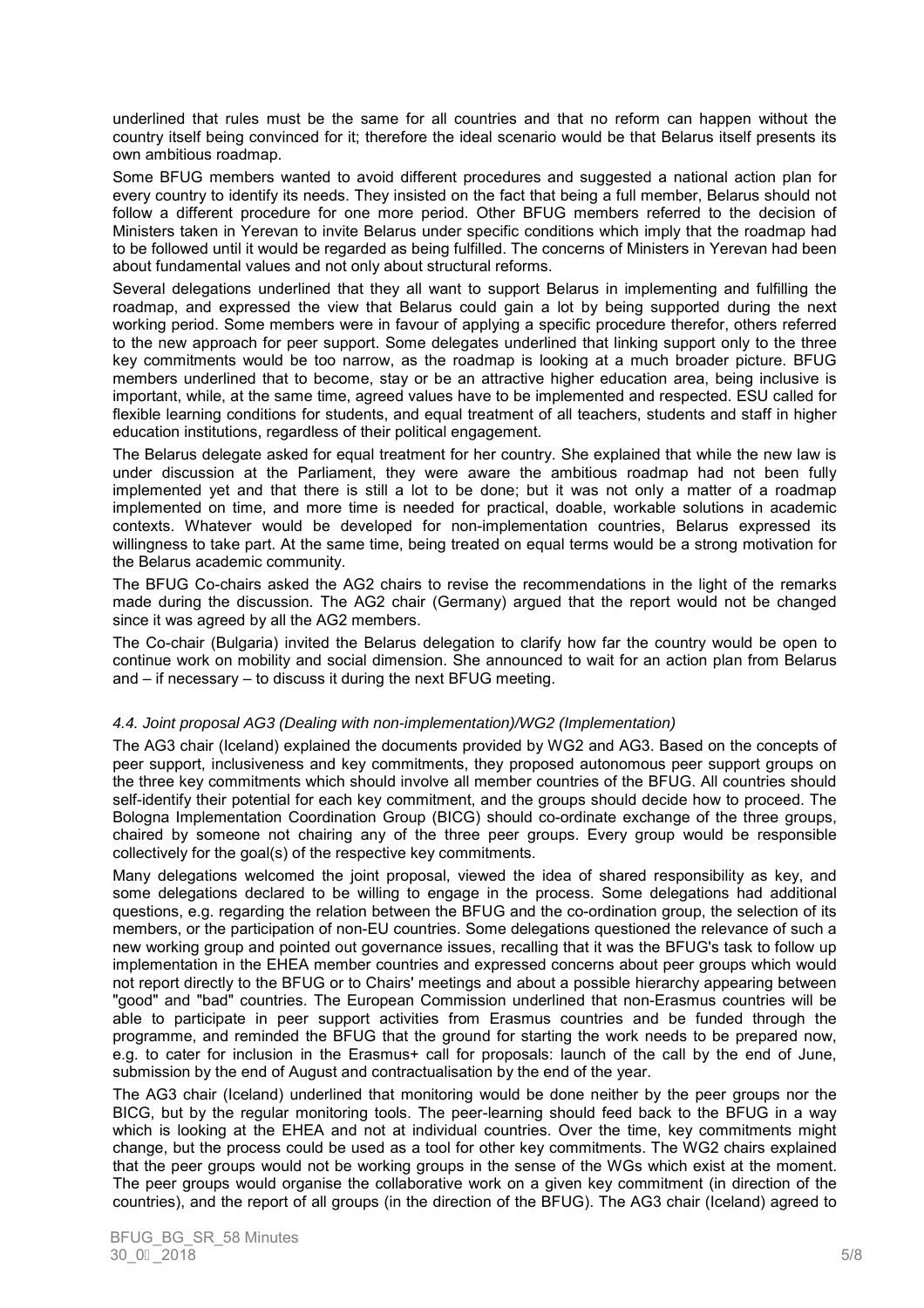underlined that rules must be the same for all countries and that no reform can happen without the country itself being convinced for it; therefore the ideal scenario would be that Belarus itself presents its own ambitious roadmap.

Some BFUG members wanted to avoid different procedures and suggested a national action plan for every country to identify its needs. They insisted on the fact that being a full member, Belarus should not follow a different procedure for one more period. Other BFUG members referred to the decision of Ministers taken in Yerevan to invite Belarus under specific conditions which imply that the roadmap had to be followed until it would be regarded as being fulfilled. The concerns of Ministers in Yerevan had been about fundamental values and not only about structural reforms.

Several delegations underlined that they all want to support Belarus in implementing and fulfilling the roadmap, and expressed the view that Belarus could gain a lot by being supported during the next working period. Some members were in favour of applying a specific procedure therefor, others referred to the new approach for peer support. Some delegates underlined that linking support only to the three key commitments would be too narrow, as the roadmap is looking at a much broader picture. BFUG members underlined that to become, stay or be an attractive higher education area, being inclusive is important, while, at the same time, agreed values have to be implemented and respected. ESU called for flexible learning conditions for students, and equal treatment of all teachers, students and staff in higher education institutions, regardless of their political engagement.

The Belarus delegate asked for equal treatment for her country. She explained that while the new law is under discussion at the Parliament, they were aware the ambitious roadmap had not been fully implemented yet and that there is still a lot to be done; but it was not only a matter of a roadmap implemented on time, and more time is needed for practical, doable, workable solutions in academic contexts. Whatever would be developed for non-implementation countries, Belarus expressed its willingness to take part. At the same time, being treated on equal terms would be a strong motivation for the Belarus academic community.

The BFUG Co-chairs asked the AG2 chairs to revise the recommendations in the light of the remarks made during the discussion. The AG2 chair (Germany) argued that the report would not be changed since it was agreed by all the AG2 members.

The Co-chair (Bulgaria) invited the Belarus delegation to clarify how far the country would be open to continue work on mobility and social dimension. She announced to wait for an action plan from Belarus and – if necessary – to discuss it during the next BFUG meeting.

### 4.4. Joint proposal AG3 (Dealing with non-implementation)/WG2 (Implementation)

The AG3 chair (Iceland) explained the documents provided by WG2 and AG3. Based on the concepts of peer support, inclusiveness and key commitments, they proposed autonomous peer support groups on the three key commitments which should involve all member countries of the BFUG. All countries should self-identify their potential for each key commitment, and the groups should decide how to proceed. The Bologna Implementation Coordination Group (BICG) should co-ordinate exchange of the three groups, chaired by someone not chairing any of the three peer groups. Every group would be responsible collectively for the goal(s) of the respective key commitments.

Many delegations welcomed the joint proposal, viewed the idea of shared responsibility as key, and some delegations declared to be willing to engage in the process. Some delegations had additional questions, e.g. regarding the relation between the BFUG and the co-ordination group, the selection of its members, or the participation of non-EU countries. Some delegations questioned the relevance of such a new working group and pointed out governance issues, recalling that it was the BFUG's task to follow up implementation in the EHEA member countries and expressed concerns about peer groups which would not report directly to the BFUG or to Chairs' meetings and about a possible hierarchy appearing between "good" and "bad" countries. The European Commission underlined that non-Erasmus countries will be able to participate in peer support activities from Erasmus countries and be funded through the programme, and reminded the BFUG that the ground for starting the work needs to be prepared now, e.g. to cater for inclusion in the Erasmus+ call for proposals: launch of the call by the end of June, submission by the end of August and contractualisation by the end of the year.

The AG3 chair (Iceland) underlined that monitoring would be done neither by the peer groups nor the BICG, but by the regular monitoring tools. The peer-learning should feed back to the BFUG in a way which is looking at the EHEA and not at individual countries. Over the time, key commitments might change, but the process could be used as a tool for other key commitments. The WG2 chairs explained that the peer groups would not be working groups in the sense of the WGs which exist at the moment. The peer groups would organise the collaborative work on a given key commitment (in direction of the countries), and the report of all groups (in the direction of the BFUG). The AG3 chair (Iceland) agreed to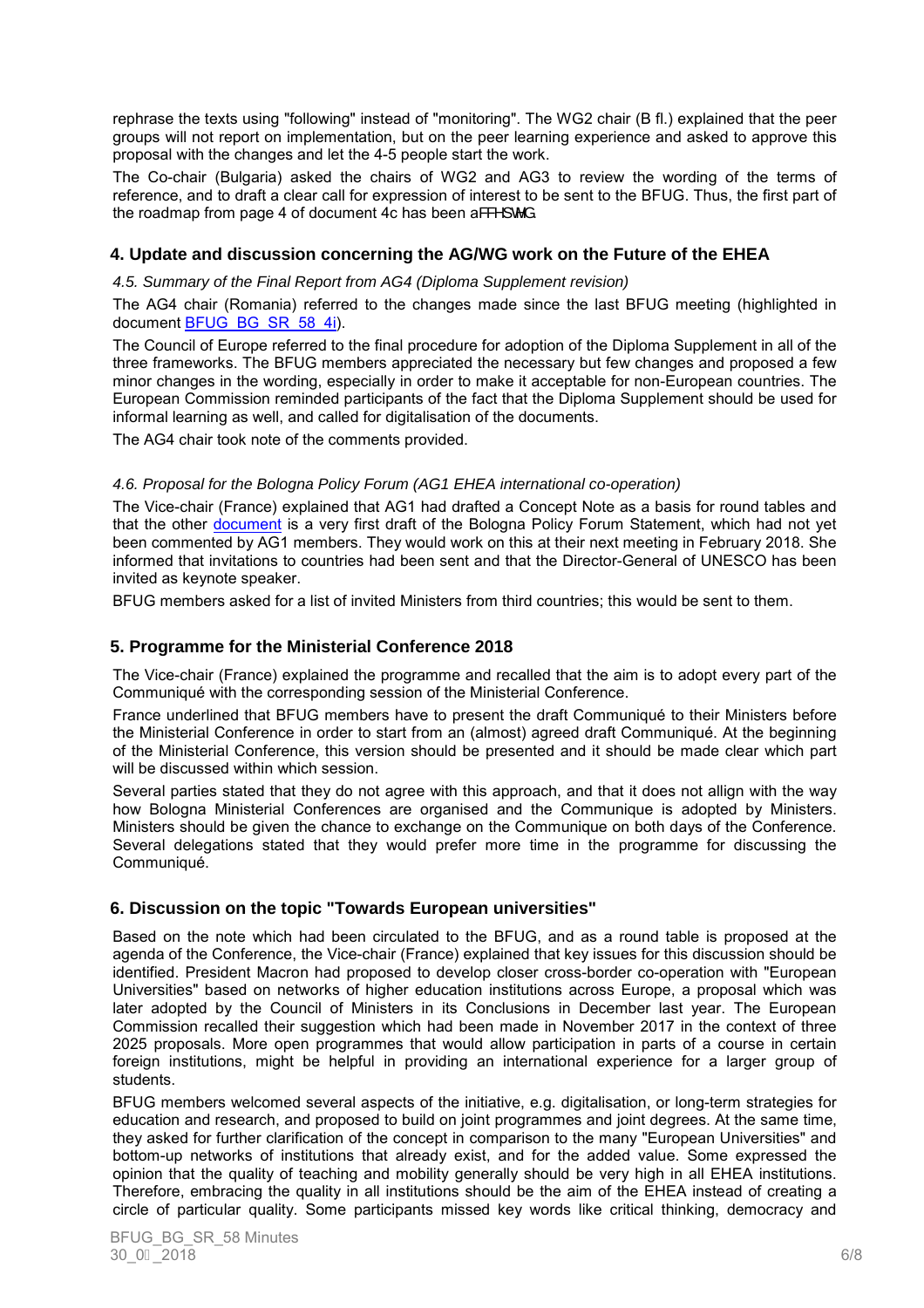rephrase the texts using "following" instead of "monitoring". The WG2 chair (B fl.) explained that the peer groups will not report on implementation, but on the peer learning experience and asked to approve this proposal with the changes and let the 4-5 people start the work.

The Co-chair (Bulgaria) asked the chairs of WG2 and AG3 to review the wording of the terms of reference, and to draft a clear call for expression of interest to be sent to the BFUG. Thus, the first part of the roadmap from page 4 of document 4c has been a& $\mathbb{R}^n$ ]  $\mathbb{C}^n$  a.

# **4. Update and discussion concerning the AG/WG work on the Future of the EHEA**

4.5. Summary of the Final Report from AG4 (Diploma Supplement revision)

The AG4 chair (Romania) referred to the changes made since the last BFUG meeting (highlighted in document BFUG\_BG\_SR\_58\_4i).

The Council of Europe referred to the final procedure for adoption of the Diploma Supplement in all of the three frameworks. The BFUG members appreciated the necessary but few changes and proposed a few minor changes in the wording, especially in order to make it acceptable for non-European countries. The European Commission reminded participants of the fact that the Diploma Supplement should be used for informal learning as well, and called for digitalisation of the documents.

The AG4 chair took note of the comments provided.

### 4.6. Proposal for the Bologna Policy Forum (AG1 EHEA international co-operation)

The Vice-chair (France) explained that AG1 had drafted a Concept Note as a basis for round tables and that the other document is a very first draft of the Bologna Policy Forum Statement, which had not yet been commented by AG1 members. They would work on this at their next meeting in February 2018. She informed that invitations to countries had been sent and that the Director-General of UNESCO has been invited as keynote speaker.

BFUG members asked for a list of invited Ministers from third countries; this would be sent to them.

# **5. Programme for the Ministerial Conference 2018**

The Vice-chair (France) explained the programme and recalled that the aim is to adopt every part of the Communiqué with the corresponding session of the Ministerial Conference.

France underlined that BFUG members have to present the draft Communiqué to their Ministers before the Ministerial Conference in order to start from an (almost) agreed draft Communiqué. At the beginning of the Ministerial Conference, this version should be presented and it should be made clear which part will be discussed within which session.

Several parties stated that they do not agree with this approach, and that it does not allign with the way how Bologna Ministerial Conferences are organised and the Communique is adopted by Ministers. Ministers should be given the chance to exchange on the Communique on both days of the Conference. Several delegations stated that they would prefer more time in the programme for discussing the Communiqué.

# **6. Discussion on the topic "Towards European universities"**

Based on the note which had been circulated to the BFUG, and as a round table is proposed at the agenda of the Conference, the Vice-chair (France) explained that key issues for this discussion should be identified. President Macron had proposed to develop closer cross-border co-operation with "European Universities" based on networks of higher education institutions across Europe, a proposal which was later adopted by the Council of Ministers in its Conclusions in December last year. The European Commission recalled their suggestion which had been made in November 2017 in the context of three 2025 proposals. More open programmes that would allow participation in parts of a course in certain foreign institutions, might be helpful in providing an international experience for a larger group of students.

BFUG members welcomed several aspects of the initiative, e.g. digitalisation, or long-term strategies for education and research, and proposed to build on joint programmes and joint degrees. At the same time, they asked for further clarification of the concept in comparison to the many "European Universities" and bottom-up networks of institutions that already exist, and for the added value. Some expressed the opinion that the quality of teaching and mobility generally should be very high in all EHEA institutions. Therefore, embracing the quality in all institutions should be the aim of the EHEA instead of creating a circle of particular quality. Some participants missed key words like critical thinking, democracy and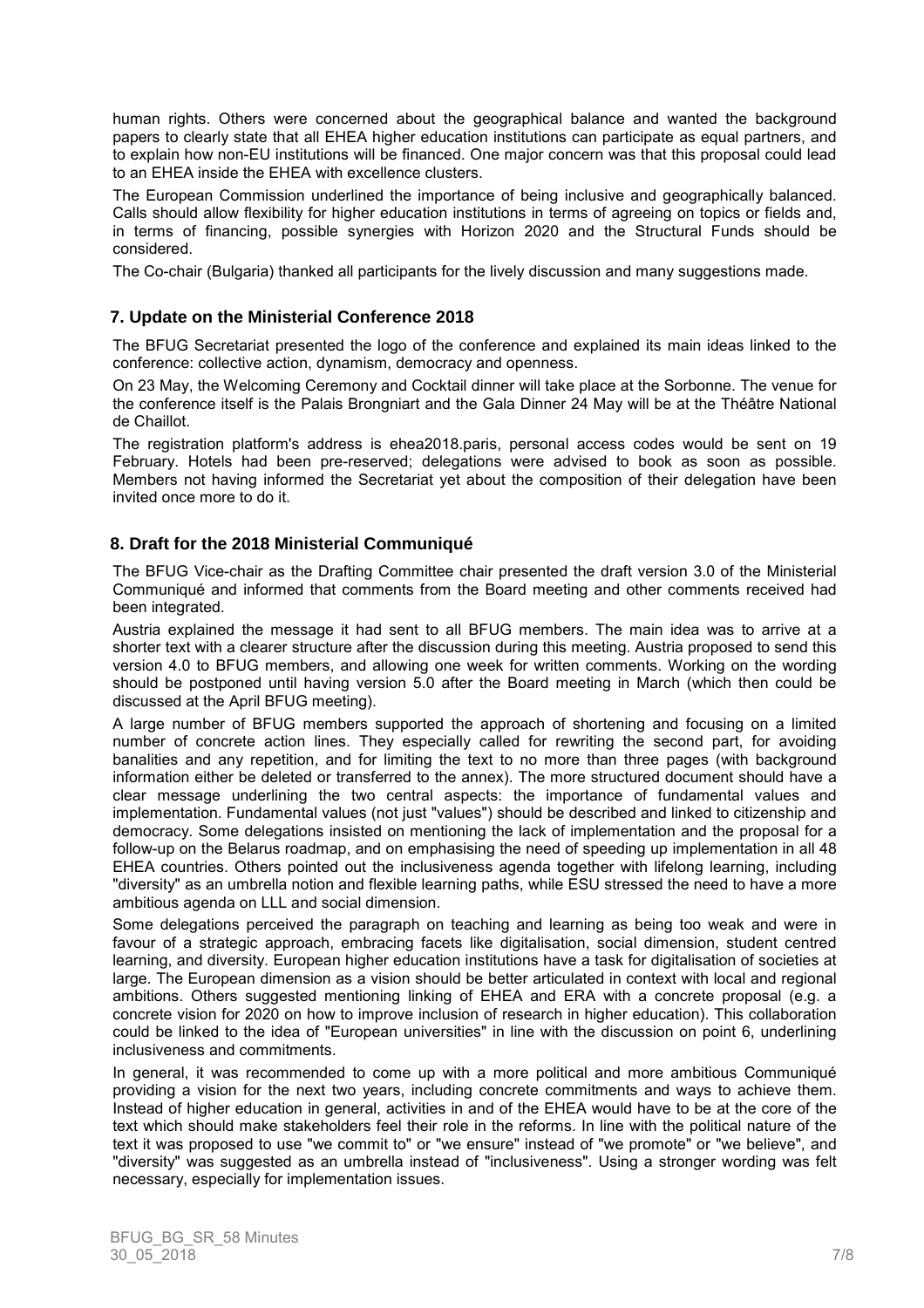human rights. Others were concerned about the geographical balance and wanted the background papers to clearly state that all EHEA higher education institutions can participate as equal partners, and to explain how non-EU institutions will be financed. One major concern was that this proposal could lead to an EHEA inside the EHEA with excellence clusters.

The European Commission underlined the importance of being inclusive and geographically balanced. Calls should allow flexibility for higher education institutions in terms of agreeing on topics or fields and, in terms of financing, possible synergies with Horizon 2020 and the Structural Funds should be considered.

The Co-chair (Bulgaria) thanked all participants for the lively discussion and many suggestions made.

### **7. Update on the Ministerial Conference 2018**

The BFUG Secretariat presented the logo of the conference and explained its main ideas linked to the conference: collective action, dynamism, democracy and openness.

On 23 May, the Welcoming Ceremony and Cocktail dinner will take place at the Sorbonne. The venue for the conference itself is the Palais Brongniart and the Gala Dinner 24 May will be at the Théâtre National de Chaillot.

The registration platform's address is ehea2018.paris, personal access codes would be sent on 19 February. Hotels had been pre-reserved; delegations were advised to book as soon as possible. Members not having informed the Secretariat yet about the composition of their delegation have been invited once more to do it.

# **8. Draft for the 2018 Ministerial Communiqué**

The BFUG Vice-chair as the Drafting Committee chair presented the draft version 3.0 of the Ministerial Communiqué and informed that comments from the Board meeting and other comments received had been integrated.

Austria explained the message it had sent to all BFUG members. The main idea was to arrive at a shorter text with a clearer structure after the discussion during this meeting. Austria proposed to send this version 4.0 to BFUG members, and allowing one week for written comments. Working on the wording should be postponed until having version 5.0 after the Board meeting in March (which then could be discussed at the April BFUG meeting).

A large number of BFUG members supported the approach of shortening and focusing on a limited number of concrete action lines. They especially called for rewriting the second part, for avoiding banalities and any repetition, and for limiting the text to no more than three pages (with background information either be deleted or transferred to the annex). The more structured document should have a clear message underlining the two central aspects: the importance of fundamental values and implementation. Fundamental values (not just "values") should be described and linked to citizenship and democracy. Some delegations insisted on mentioning the lack of implementation and the proposal for a follow-up on the Belarus roadmap, and on emphasising the need of speeding up implementation in all 48 EHEA countries. Others pointed out the inclusiveness agenda together with lifelong learning, including "diversity" as an umbrella notion and flexible learning paths, while ESU stressed the need to have a more ambitious agenda on LLL and social dimension.

Some delegations perceived the paragraph on teaching and learning as being too weak and were in favour of a strategic approach, embracing facets like digitalisation, social dimension, student centred learning, and diversity. European higher education institutions have a task for digitalisation of societies at large. The European dimension as a vision should be better articulated in context with local and regional ambitions. Others suggested mentioning linking of EHEA and ERA with a concrete proposal (e.g. a concrete vision for 2020 on how to improve inclusion of research in higher education). This collaboration could be linked to the idea of "European universities" in line with the discussion on point 6, underlining inclusiveness and commitments.

In general, it was recommended to come up with a more political and more ambitious Communiqué providing a vision for the next two years, including concrete commitments and ways to achieve them. Instead of higher education in general, activities in and of the EHEA would have to be at the core of the text which should make stakeholders feel their role in the reforms. In line with the political nature of the text it was proposed to use "we commit to" or "we ensure" instead of "we promote" or "we believe", and "diversity" was suggested as an umbrella instead of "inclusiveness". Using a stronger wording was felt necessary, especially for implementation issues.